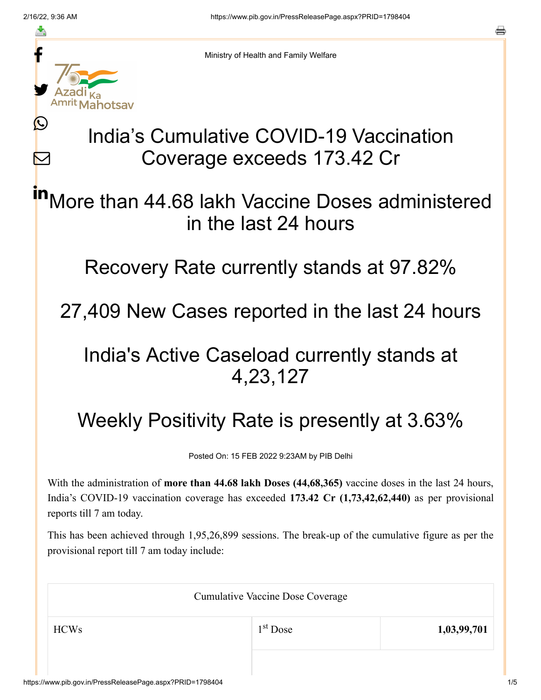≛

Ŀ

 $\bm{\nabla}$ 



Ministry of Health and Family Welfare

# India's Cumulative COVID-19 Vaccination Coverage exceeds 173.42 Cr

More than 44.68 lakh Vaccine Doses administered in the last 24 hours in

Recovery Rate currently stands at 97.82%

27,409 New Cases reported in the last 24 hours

### India's Active Caseload currently stands at 4,23,127

## Weekly Positivity Rate is presently at 3.63%

Posted On: 15 FEB 2022 9:23AM by PIB Delhi

With the administration of **more than 44.68 lakh Doses (44,68,365)** vaccine doses in the last 24 hours, India's COVID-19 vaccination coverage has exceeded **173.42 Cr (1,73,42,62,440)** as per provisional reports till 7 am today.

This has been achieved through 1,95,26,899 sessions. The break-up of the cumulative figure as per the provisional report till 7 am today include:

| <b>Cumulative Vaccine Dose Coverage</b> |            |             |  |
|-----------------------------------------|------------|-------------|--|
| <b>HCWs</b>                             | $1st$ Dose | 1,03,99,701 |  |
|                                         |            |             |  |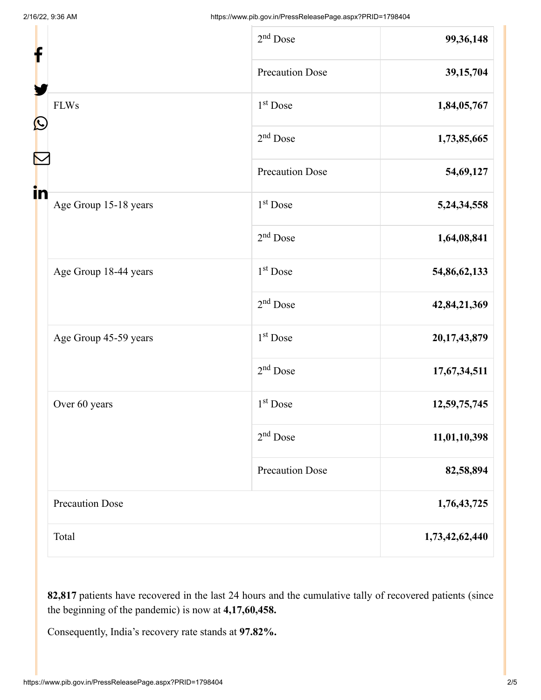| f  |                        | $2nd$ Dose             | 99,36,148      |
|----|------------------------|------------------------|----------------|
| C  |                        | <b>Precaution Dose</b> | 39,15,704      |
|    | <b>FLWs</b>            | 1 <sup>st</sup> Dose   | 1,84,05,767    |
|    |                        | $2nd$ Dose             | 1,73,85,665    |
|    |                        | <b>Precaution Dose</b> | 54,69,127      |
| in | Age Group 15-18 years  | $1st$ Dose             | 5,24,34,558    |
|    |                        | $2nd$ Dose             | 1,64,08,841    |
|    | Age Group 18-44 years  | 1 <sup>st</sup> Dose   | 54,86,62,133   |
|    |                        | $2nd$ Dose             | 42,84,21,369   |
|    | Age Group 45-59 years  | 1 <sup>st</sup> Dose   | 20,17,43,879   |
|    |                        | $2nd$ Dose             | 17,67,34,511   |
|    | Over 60 years          | 1 <sup>st</sup> Dose   | 12,59,75,745   |
|    |                        | $2nd$ Dose             | 11,01,10,398   |
|    |                        | Precaution Dose        | 82,58,894      |
|    | <b>Precaution Dose</b> |                        | 1,76,43,725    |
|    | Total                  |                        | 1,73,42,62,440 |

**82,817** patients have recovered in the last 24 hours and the cumulative tally of recovered patients (since the beginning of the pandemic) is now at **4,17,60,458.**

Consequently, India's recovery rate stands at **97.82%.**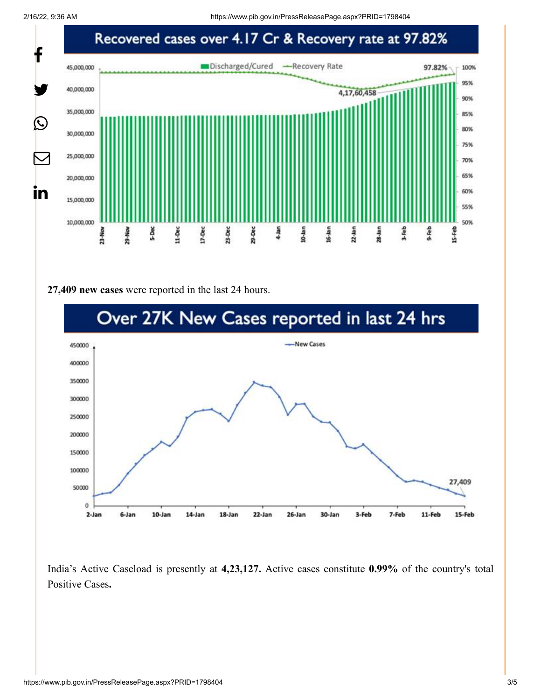2/16/22, 9:36 AM https://www.pib.gov.in/PressReleasePage.aspx?PRID=1798404



#### **27,409 new cases** were reported in the last 24 hours.



India's Active Caseload is presently at **4,23,127.** Active cases constitute **0.99%** of the country's total Positive Cases**.**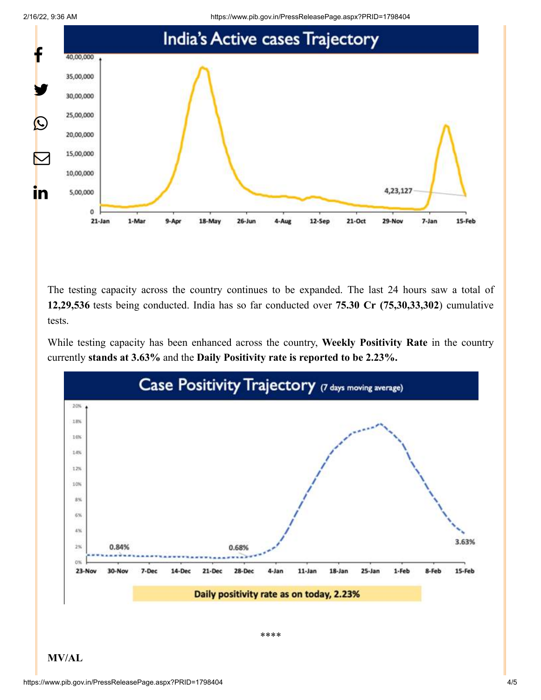



The testing capacity across the country continues to be expanded. The last 24 hours saw a total of **12,29,536** tests being conducted. India has so far conducted over **75.30 Cr (75,30,33,302**) cumulative tests.

While testing capacity has been enhanced across the country, **Weekly Positivity Rate** in the country currently **stands at 3.63%** and the **Daily Positivity rate is reported to be 2.23%.**